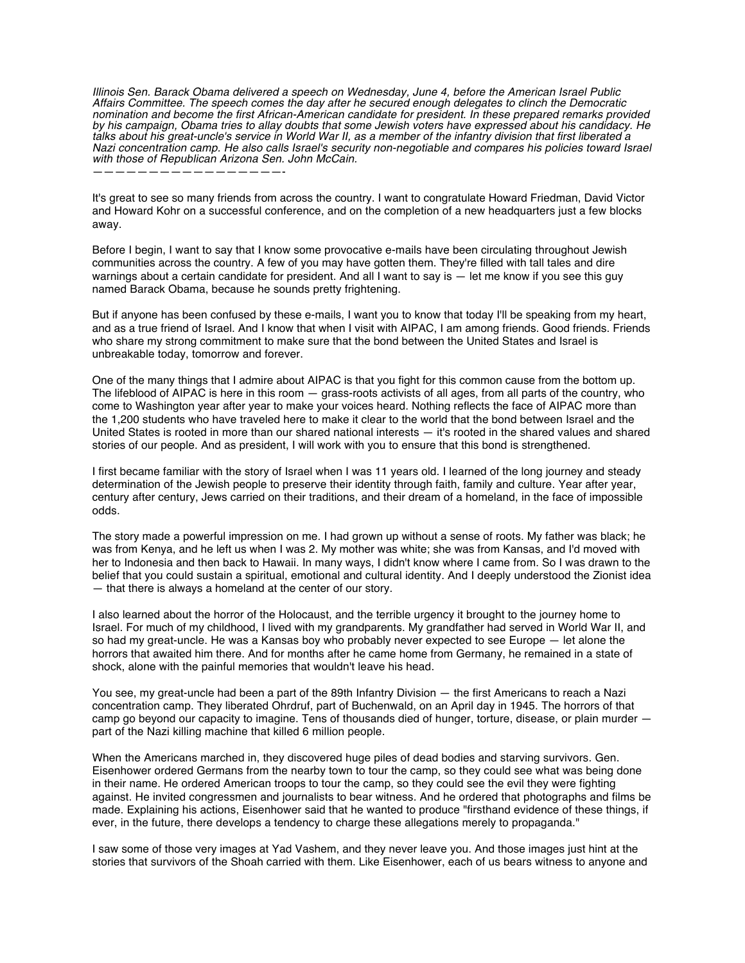*Illinois Sen. Barack Obama delivered a speech on Wednesday, June 4, before the American Israel Public Affairs Committee. The speech comes the day after he secured enough delegates to clinch the Democratic nomination and become the first African-American candidate for president. In these prepared remarks provided by his campaign, Obama tries to allay doubts that some Jewish voters have expressed about his candidacy. He talks about his great-uncle's service in World War II, as a member of the infantry division that first liberated a Nazi concentration camp. He also calls Israel's security non-negotiable and compares his policies toward Israel with those of Republican Arizona Sen. John McCain.*

—————————————————-

It's great to see so many friends from across the country. I want to congratulate Howard Friedman, David Victor and Howard Kohr on a successful conference, and on the completion of a new headquarters just a few blocks away.

Before I begin, I want to say that I know some provocative e-mails have been circulating throughout Jewish communities across the country. A few of you may have gotten them. They're filled with tall tales and dire warnings about a certain candidate for president. And all I want to say is — let me know if you see this guy named Barack Obama, because he sounds pretty frightening.

But if anyone has been confused by these e-mails, I want you to know that today I'll be speaking from my heart, and as a true friend of Israel. And I know that when I visit with AIPAC, I am among friends. Good friends. Friends who share my strong commitment to make sure that the bond between the United States and Israel is unbreakable today, tomorrow and forever.

One of the many things that I admire about AIPAC is that you fight for this common cause from the bottom up. The lifeblood of AIPAC is here in this room — grass-roots activists of all ages, from all parts of the country, who come to Washington year after year to make your voices heard. Nothing reflects the face of AIPAC more than the 1,200 students who have traveled here to make it clear to the world that the bond between Israel and the United States is rooted in more than our shared national interests — it's rooted in the shared values and shared stories of our people. And as president, I will work with you to ensure that this bond is strengthened.

I first became familiar with the story of Israel when I was 11 years old. I learned of the long journey and steady determination of the Jewish people to preserve their identity through faith, family and culture. Year after year, century after century, Jews carried on their traditions, and their dream of a homeland, in the face of impossible odds.

The story made a powerful impression on me. I had grown up without a sense of roots. My father was black; he was from Kenya, and he left us when I was 2. My mother was white; she was from Kansas, and I'd moved with her to Indonesia and then back to Hawaii. In many ways, I didn't know where I came from. So I was drawn to the belief that you could sustain a spiritual, emotional and cultural identity. And I deeply understood the Zionist idea — that there is always a homeland at the center of our story.

I also learned about the horror of the Holocaust, and the terrible urgency it brought to the journey home to Israel. For much of my childhood, I lived with my grandparents. My grandfather had served in World War II, and so had my great-uncle. He was a Kansas boy who probably never expected to see Europe — let alone the horrors that awaited him there. And for months after he came home from Germany, he remained in a state of shock, alone with the painful memories that wouldn't leave his head.

You see, my great-uncle had been a part of the 89th Infantry Division — the first Americans to reach a Nazi concentration camp. They liberated Ohrdruf, part of Buchenwald, on an April day in 1945. The horrors of that camp go beyond our capacity to imagine. Tens of thousands died of hunger, torture, disease, or plain murder part of the Nazi killing machine that killed 6 million people.

When the Americans marched in, they discovered huge piles of dead bodies and starving survivors. Gen. Eisenhower ordered Germans from the nearby town to tour the camp, so they could see what was being done in their name. He ordered American troops to tour the camp, so they could see the evil they were fighting against. He invited congressmen and journalists to bear witness. And he ordered that photographs and films be made. Explaining his actions, Eisenhower said that he wanted to produce "firsthand evidence of these things, if ever, in the future, there develops a tendency to charge these allegations merely to propaganda."

I saw some of those very images at Yad Vashem, and they never leave you. And those images just hint at the stories that survivors of the Shoah carried with them. Like Eisenhower, each of us bears witness to anyone and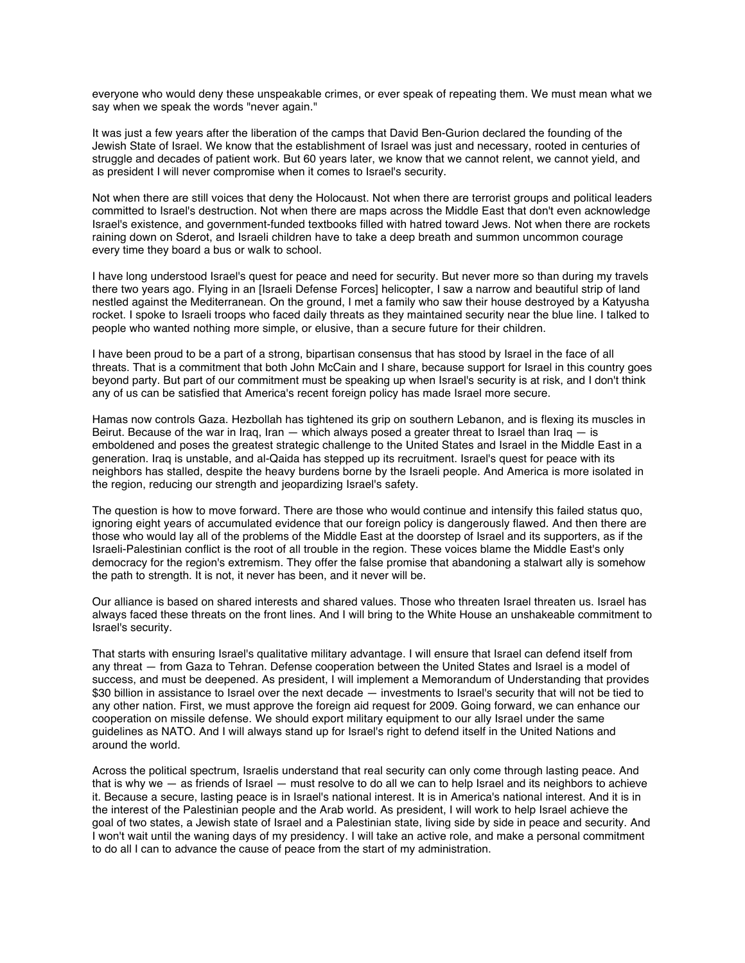everyone who would deny these unspeakable crimes, or ever speak of repeating them. We must mean what we say when we speak the words "never again."

It was just a few years after the liberation of the camps that David Ben-Gurion declared the founding of the Jewish State of Israel. We know that the establishment of Israel was just and necessary, rooted in centuries of struggle and decades of patient work. But 60 years later, we know that we cannot relent, we cannot yield, and as president I will never compromise when it comes to Israel's security.

Not when there are still voices that deny the Holocaust. Not when there are terrorist groups and political leaders committed to Israel's destruction. Not when there are maps across the Middle East that don't even acknowledge Israel's existence, and government-funded textbooks filled with hatred toward Jews. Not when there are rockets raining down on Sderot, and Israeli children have to take a deep breath and summon uncommon courage every time they board a bus or walk to school.

I have long understood Israel's quest for peace and need for security. But never more so than during my travels there two years ago. Flying in an [Israeli Defense Forces] helicopter, I saw a narrow and beautiful strip of land nestled against the Mediterranean. On the ground, I met a family who saw their house destroyed by a Katyusha rocket. I spoke to Israeli troops who faced daily threats as they maintained security near the blue line. I talked to people who wanted nothing more simple, or elusive, than a secure future for their children.

I have been proud to be a part of a strong, bipartisan consensus that has stood by Israel in the face of all threats. That is a commitment that both John McCain and I share, because support for Israel in this country goes beyond party. But part of our commitment must be speaking up when Israel's security is at risk, and I don't think any of us can be satisfied that America's recent foreign policy has made Israel more secure.

Hamas now controls Gaza. Hezbollah has tightened its grip on southern Lebanon, and is flexing its muscles in Beirut. Because of the war in Iraq, Iran  $-$  which always posed a greater threat to Israel than Iraq  $-$  is emboldened and poses the greatest strategic challenge to the United States and Israel in the Middle East in a generation. Iraq is unstable, and al-Qaida has stepped up its recruitment. Israel's quest for peace with its neighbors has stalled, despite the heavy burdens borne by the Israeli people. And America is more isolated in the region, reducing our strength and jeopardizing Israel's safety.

The question is how to move forward. There are those who would continue and intensify this failed status quo, ignoring eight years of accumulated evidence that our foreign policy is dangerously flawed. And then there are those who would lay all of the problems of the Middle East at the doorstep of Israel and its supporters, as if the Israeli-Palestinian conflict is the root of all trouble in the region. These voices blame the Middle East's only democracy for the region's extremism. They offer the false promise that abandoning a stalwart ally is somehow the path to strength. It is not, it never has been, and it never will be.

Our alliance is based on shared interests and shared values. Those who threaten Israel threaten us. Israel has always faced these threats on the front lines. And I will bring to the White House an unshakeable commitment to Israel's security.

That starts with ensuring Israel's qualitative military advantage. I will ensure that Israel can defend itself from any threat — from Gaza to Tehran. Defense cooperation between the United States and Israel is a model of success, and must be deepened. As president, I will implement a Memorandum of Understanding that provides \$30 billion in assistance to Israel over the next decade — investments to Israel's security that will not be tied to any other nation. First, we must approve the foreign aid request for 2009. Going forward, we can enhance our cooperation on missile defense. We should export military equipment to our ally Israel under the same guidelines as NATO. And I will always stand up for Israel's right to defend itself in the United Nations and around the world.

Across the political spectrum, Israelis understand that real security can only come through lasting peace. And that is why we  $-$  as friends of Israel  $-$  must resolve to do all we can to help Israel and its neighbors to achieve it. Because a secure, lasting peace is in Israel's national interest. It is in America's national interest. And it is in the interest of the Palestinian people and the Arab world. As president, I will work to help Israel achieve the goal of two states, a Jewish state of Israel and a Palestinian state, living side by side in peace and security. And I won't wait until the waning days of my presidency. I will take an active role, and make a personal commitment to do all I can to advance the cause of peace from the start of my administration.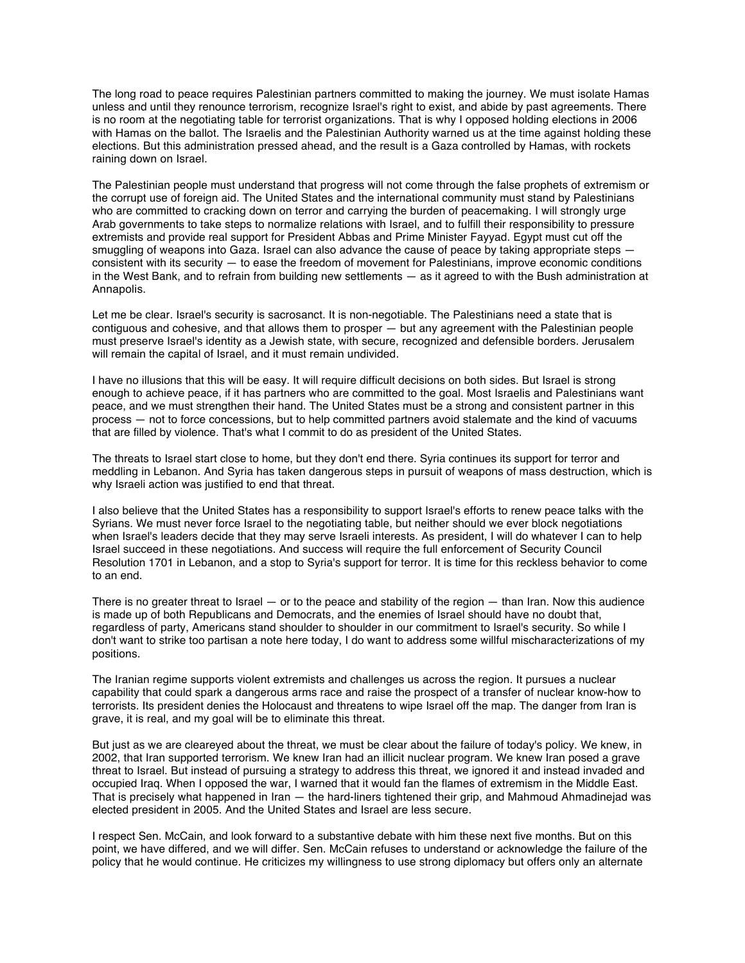The long road to peace requires Palestinian partners committed to making the journey. We must isolate Hamas unless and until they renounce terrorism, recognize Israel's right to exist, and abide by past agreements. There is no room at the negotiating table for terrorist organizations. That is why I opposed holding elections in 2006 with Hamas on the ballot. The Israelis and the Palestinian Authority warned us at the time against holding these elections. But this administration pressed ahead, and the result is a Gaza controlled by Hamas, with rockets raining down on Israel.

The Palestinian people must understand that progress will not come through the false prophets of extremism or the corrupt use of foreign aid. The United States and the international community must stand by Palestinians who are committed to cracking down on terror and carrying the burden of peacemaking. I will strongly urge Arab governments to take steps to normalize relations with Israel, and to fulfill their responsibility to pressure extremists and provide real support for President Abbas and Prime Minister Fayyad. Egypt must cut off the smuggling of weapons into Gaza. Israel can also advance the cause of peace by taking appropriate steps – consistent with its security — to ease the freedom of movement for Palestinians, improve economic conditions in the West Bank, and to refrain from building new settlements — as it agreed to with the Bush administration at Annapolis.

Let me be clear. Israel's security is sacrosanct. It is non-negotiable. The Palestinians need a state that is contiguous and cohesive, and that allows them to prosper — but any agreement with the Palestinian people must preserve Israel's identity as a Jewish state, with secure, recognized and defensible borders. Jerusalem will remain the capital of Israel, and it must remain undivided.

I have no illusions that this will be easy. It will require difficult decisions on both sides. But Israel is strong enough to achieve peace, if it has partners who are committed to the goal. Most Israelis and Palestinians want peace, and we must strengthen their hand. The United States must be a strong and consistent partner in this process — not to force concessions, but to help committed partners avoid stalemate and the kind of vacuums that are filled by violence. That's what I commit to do as president of the United States.

The threats to Israel start close to home, but they don't end there. Syria continues its support for terror and meddling in Lebanon. And Syria has taken dangerous steps in pursuit of weapons of mass destruction, which is why Israeli action was justified to end that threat.

I also believe that the United States has a responsibility to support Israel's efforts to renew peace talks with the Syrians. We must never force Israel to the negotiating table, but neither should we ever block negotiations when Israel's leaders decide that they may serve Israeli interests. As president, I will do whatever I can to help Israel succeed in these negotiations. And success will require the full enforcement of Security Council Resolution 1701 in Lebanon, and a stop to Syria's support for terror. It is time for this reckless behavior to come to an end.

There is no greater threat to Israel  $-$  or to the peace and stability of the region  $-$  than Iran. Now this audience is made up of both Republicans and Democrats, and the enemies of Israel should have no doubt that, regardless of party, Americans stand shoulder to shoulder in our commitment to Israel's security. So while I don't want to strike too partisan a note here today, I do want to address some willful mischaracterizations of my positions.

The Iranian regime supports violent extremists and challenges us across the region. It pursues a nuclear capability that could spark a dangerous arms race and raise the prospect of a transfer of nuclear know-how to terrorists. Its president denies the Holocaust and threatens to wipe Israel off the map. The danger from Iran is grave, it is real, and my goal will be to eliminate this threat.

But just as we are cleareyed about the threat, we must be clear about the failure of today's policy. We knew, in 2002, that Iran supported terrorism. We knew Iran had an illicit nuclear program. We knew Iran posed a grave threat to Israel. But instead of pursuing a strategy to address this threat, we ignored it and instead invaded and occupied Iraq. When I opposed the war, I warned that it would fan the flames of extremism in the Middle East. That is precisely what happened in Iran — the hard-liners tightened their grip, and Mahmoud Ahmadinejad was elected president in 2005. And the United States and Israel are less secure.

I respect Sen. McCain, and look forward to a substantive debate with him these next five months. But on this point, we have differed, and we will differ. Sen. McCain refuses to understand or acknowledge the failure of the policy that he would continue. He criticizes my willingness to use strong diplomacy but offers only an alternate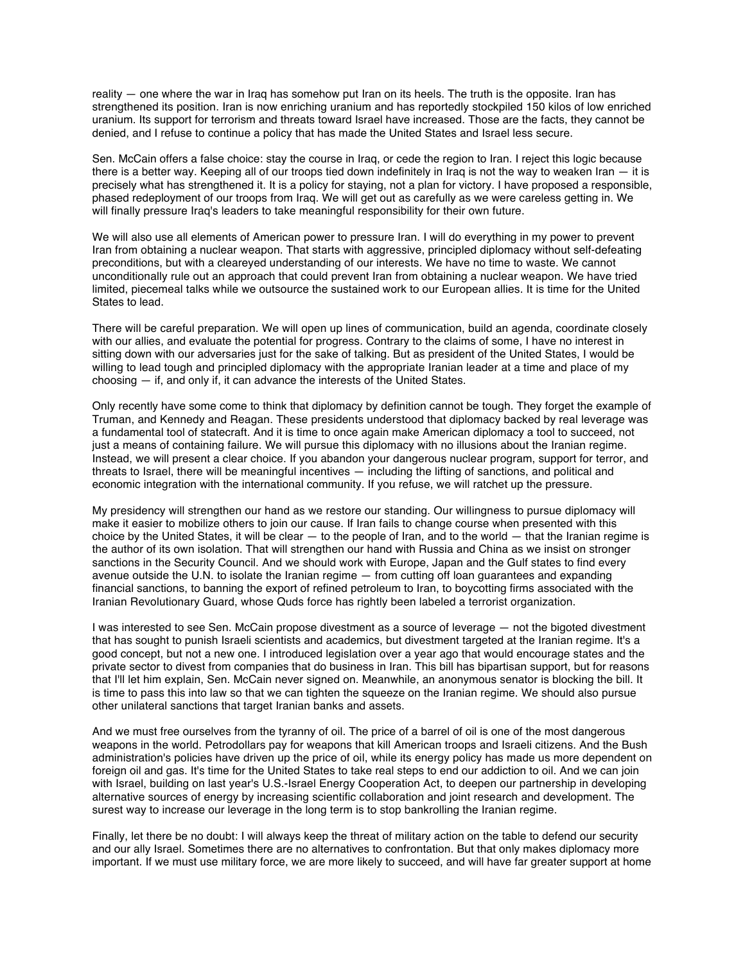reality — one where the war in Iraq has somehow put Iran on its heels. The truth is the opposite. Iran has strengthened its position. Iran is now enriching uranium and has reportedly stockpiled 150 kilos of low enriched uranium. Its support for terrorism and threats toward Israel have increased. Those are the facts, they cannot be denied, and I refuse to continue a policy that has made the United States and Israel less secure.

Sen. McCain offers a false choice: stay the course in Iraq, or cede the region to Iran. I reject this logic because there is a better way. Keeping all of our troops tied down indefinitely in Iraq is not the way to weaken Iran  $-$  it is precisely what has strengthened it. It is a policy for staying, not a plan for victory. I have proposed a responsible, phased redeployment of our troops from Iraq. We will get out as carefully as we were careless getting in. We will finally pressure Iraq's leaders to take meaningful responsibility for their own future.

We will also use all elements of American power to pressure Iran. I will do everything in my power to prevent Iran from obtaining a nuclear weapon. That starts with aggressive, principled diplomacy without self-defeating preconditions, but with a cleareyed understanding of our interests. We have no time to waste. We cannot unconditionally rule out an approach that could prevent Iran from obtaining a nuclear weapon. We have tried limited, piecemeal talks while we outsource the sustained work to our European allies. It is time for the United States to lead.

There will be careful preparation. We will open up lines of communication, build an agenda, coordinate closely with our allies, and evaluate the potential for progress. Contrary to the claims of some, I have no interest in sitting down with our adversaries just for the sake of talking. But as president of the United States, I would be willing to lead tough and principled diplomacy with the appropriate Iranian leader at a time and place of my choosing — if, and only if, it can advance the interests of the United States.

Only recently have some come to think that diplomacy by definition cannot be tough. They forget the example of Truman, and Kennedy and Reagan. These presidents understood that diplomacy backed by real leverage was a fundamental tool of statecraft. And it is time to once again make American diplomacy a tool to succeed, not just a means of containing failure. We will pursue this diplomacy with no illusions about the Iranian regime. Instead, we will present a clear choice. If you abandon your dangerous nuclear program, support for terror, and threats to Israel, there will be meaningful incentives — including the lifting of sanctions, and political and economic integration with the international community. If you refuse, we will ratchet up the pressure.

My presidency will strengthen our hand as we restore our standing. Our willingness to pursue diplomacy will make it easier to mobilize others to join our cause. If Iran fails to change course when presented with this choice by the United States, it will be clear  $-$  to the people of Iran, and to the world  $-$  that the Iranian regime is the author of its own isolation. That will strengthen our hand with Russia and China as we insist on stronger sanctions in the Security Council. And we should work with Europe, Japan and the Gulf states to find every avenue outside the U.N. to isolate the Iranian regime — from cutting off loan guarantees and expanding financial sanctions, to banning the export of refined petroleum to Iran, to boycotting firms associated with the Iranian Revolutionary Guard, whose Quds force has rightly been labeled a terrorist organization.

I was interested to see Sen. McCain propose divestment as a source of leverage — not the bigoted divestment that has sought to punish Israeli scientists and academics, but divestment targeted at the Iranian regime. It's a good concept, but not a new one. I introduced legislation over a year ago that would encourage states and the private sector to divest from companies that do business in Iran. This bill has bipartisan support, but for reasons that I'll let him explain, Sen. McCain never signed on. Meanwhile, an anonymous senator is blocking the bill. It is time to pass this into law so that we can tighten the squeeze on the Iranian regime. We should also pursue other unilateral sanctions that target Iranian banks and assets.

And we must free ourselves from the tyranny of oil. The price of a barrel of oil is one of the most dangerous weapons in the world. Petrodollars pay for weapons that kill American troops and Israeli citizens. And the Bush administration's policies have driven up the price of oil, while its energy policy has made us more dependent on foreign oil and gas. It's time for the United States to take real steps to end our addiction to oil. And we can join with Israel, building on last year's U.S.-Israel Energy Cooperation Act, to deepen our partnership in developing alternative sources of energy by increasing scientific collaboration and joint research and development. The surest way to increase our leverage in the long term is to stop bankrolling the Iranian regime.

Finally, let there be no doubt: I will always keep the threat of military action on the table to defend our security and our ally Israel. Sometimes there are no alternatives to confrontation. But that only makes diplomacy more important. If we must use military force, we are more likely to succeed, and will have far greater support at home